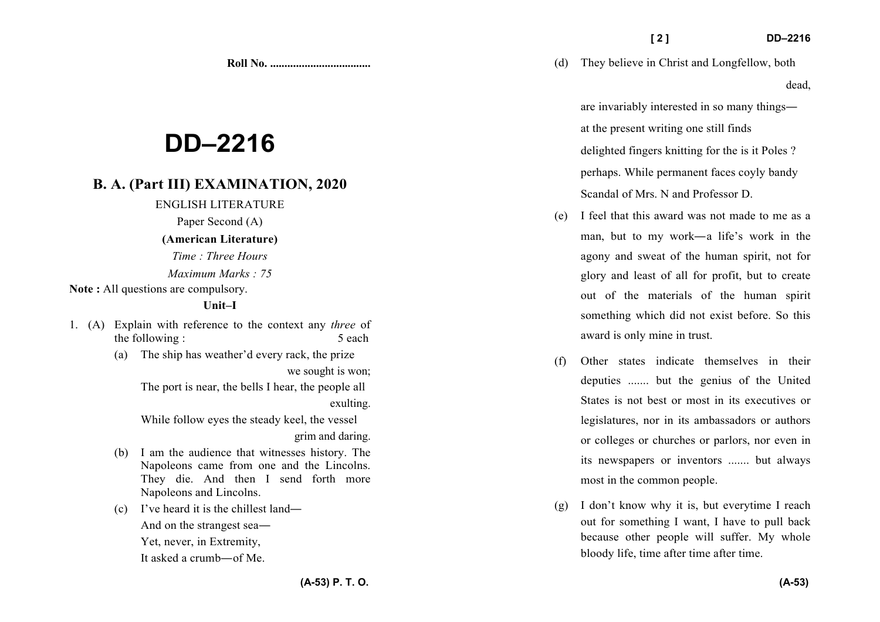**Roll No. ...................................** 

# **DD–2216**

## **B. A. (Part III) EXAMINATION, 2020**

ENGLISH LITERATURE

Paper Second (A)

#### **(American Literature)**

*Time : Three Hours* 

*Maximum Marks : 75*

Note : All questions are compulsory.

#### **Unit–I**

- 1. (A) Explain with reference to the context any *three* of the following : 5 each
	- (a) The ship has weather'd every rack, the prize

we sought is won;

The port is near, the bells I hear, the people all exulting.

While follow eyes the steady keel, the vessel

grim and daring.

- (b) I am the audience that witnesses history. The Napoleons came from one and the Lincolns. They die. And then I send forth more Napoleons and Lincolns.
- (c) I've heard it is the chillest land—

And on the strangest sea—

Yet, never, in Extremity,

It asked a crumb—of Me.

(d) They believe in Christ and Longfellow, both dead,

are invariably interested in so many things at the present writing one still finds delighted fingers knitting for the is it Poles ? perhaps. While permanent faces coyly bandy Scandal of Mrs. N and Professor D.

- (e) I feel that this award was not made to me as a man, but to my work—a life's work in the agony and sweat of the human spirit, not for glory and least of all for profit, but to create out of the materials of the human spirit something which did not exist before. So this award is only mine in trust.
- (f) Other states indicate themselves in their deputies ....... but the genius of the United States is not best or most in its executives or legislatures, nor in its ambassadors or authors or colleges or churches or parlors, nor even in its newspapers or inventors ....... but always most in the common people.
- (g) I don't know why it is, but everytime I reach out for something I want, I have to pull back because other people will suffer. My whole bloody life, time after time after time.